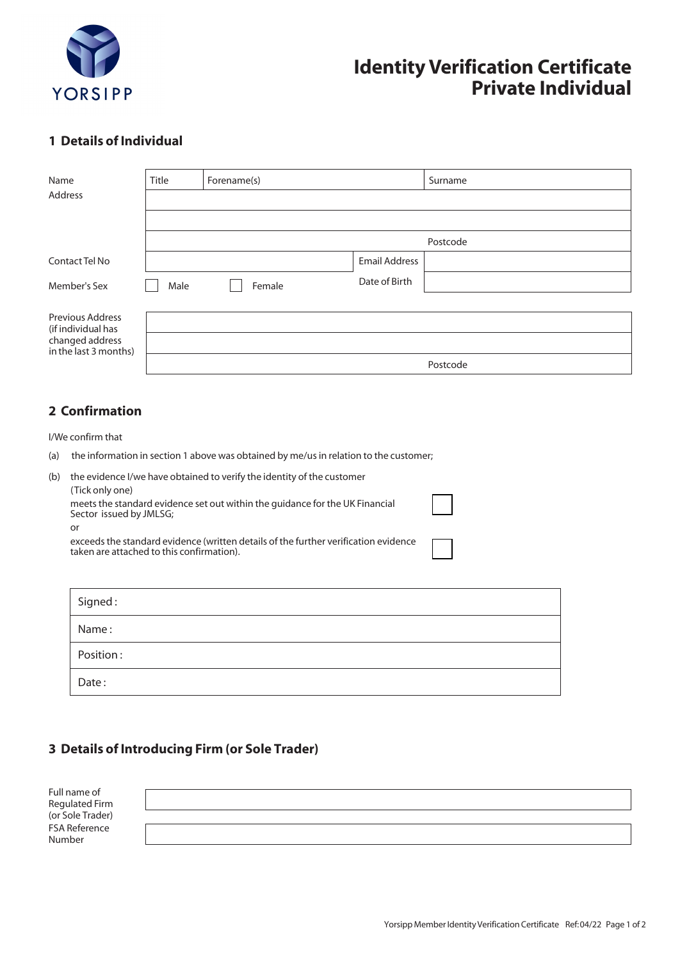

## **Identity Verification Certificate Private Individual**

## **1 Details of Individual**

| Name                                                                                      | Title    | Forename(s) |                      | Surname  |  |  |
|-------------------------------------------------------------------------------------------|----------|-------------|----------------------|----------|--|--|
| Address                                                                                   |          |             |                      |          |  |  |
|                                                                                           |          |             |                      |          |  |  |
|                                                                                           | Postcode |             |                      |          |  |  |
| Contact Tel No                                                                            |          |             | <b>Email Address</b> |          |  |  |
| Member's Sex                                                                              | Male     | Female      | Date of Birth        |          |  |  |
| <b>Previous Address</b><br>(if individual has<br>changed address<br>in the last 3 months) |          |             |                      |          |  |  |
|                                                                                           |          |             |                      | Postcode |  |  |

## **2 Confirmation**

I/We confirm that

Date :

Position :

(a) the information in section 1 above was obtained by me/us in relation to the customer;

| (b) | the evidence I/we have obtained to verify the identity of the customer<br>(Tick only one)<br>meets the standard evidence set out within the guidance for the UK Financial<br>Sector issued by JMLSG;<br>or |  |
|-----|------------------------------------------------------------------------------------------------------------------------------------------------------------------------------------------------------------|--|
|     | exceeds the standard evidence (written details of the further verification evidence<br>taken are attached to this confirmation).                                                                           |  |
|     | Signed:                                                                                                                                                                                                    |  |
|     | Name :                                                                                                                                                                                                     |  |

**3 Details of Introducing Firm (or Sole Trader)**

| Full name of<br>Regulated Firm<br>(or Sole Trader)<br>FSA Reference |  |
|---------------------------------------------------------------------|--|
|                                                                     |  |
| Number                                                              |  |